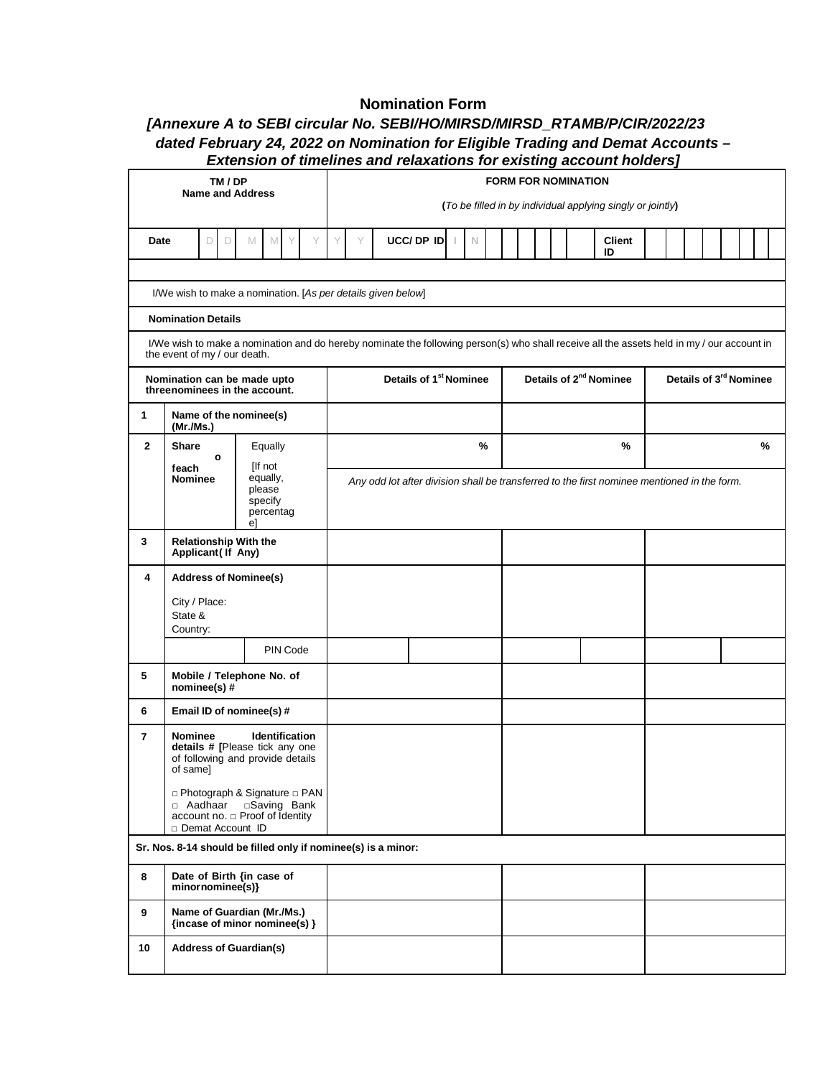## **Nomination Form**

## *[Annexure A to SEBI circular No. SEBI/HO/MIRSD/MIRSD\_RTAMB/P/CIR/2022/23*

## *dated February 24, 2022 on Nomination for Eligible Trading and Demat Accounts – Extension of timelines and relaxations for existing account holders]*

| TM / DP<br><b>Name and Address</b>                                                                                    |                                                                                                                                                                            |                                                                                             | <b>FORM FOR NOMINATION</b><br>(To be filled in by individual applying singly or jointly) |  |            |  |             |                                    |  |  |  |    |               |                                    |  |  |  |  |  |      |  |
|-----------------------------------------------------------------------------------------------------------------------|----------------------------------------------------------------------------------------------------------------------------------------------------------------------------|---------------------------------------------------------------------------------------------|------------------------------------------------------------------------------------------|--|------------|--|-------------|------------------------------------|--|--|--|----|---------------|------------------------------------|--|--|--|--|--|------|--|
|                                                                                                                       |                                                                                                                                                                            |                                                                                             |                                                                                          |  |            |  |             |                                    |  |  |  |    |               |                                    |  |  |  |  |  |      |  |
| Date                                                                                                                  | D<br>$\Box$                                                                                                                                                                | M<br>M<br>Y                                                                                 | Y                                                                                        |  | UCC/ DP ID |  | $\mathbb N$ |                                    |  |  |  | ID | <b>Client</b> |                                    |  |  |  |  |  |      |  |
|                                                                                                                       | I/We wish to make a nomination. [As per details given below]                                                                                                               |                                                                                             |                                                                                          |  |            |  |             |                                    |  |  |  |    |               |                                    |  |  |  |  |  |      |  |
|                                                                                                                       |                                                                                                                                                                            |                                                                                             |                                                                                          |  |            |  |             |                                    |  |  |  |    |               |                                    |  |  |  |  |  |      |  |
|                                                                                                                       | <b>Nomination Details</b>                                                                                                                                                  |                                                                                             |                                                                                          |  |            |  |             |                                    |  |  |  |    |               |                                    |  |  |  |  |  |      |  |
|                                                                                                                       | I/We wish to make a nomination and do hereby nominate the following person(s) who shall receive all the assets held in my / our account in<br>the event of my / our death. |                                                                                             |                                                                                          |  |            |  |             |                                    |  |  |  |    |               |                                    |  |  |  |  |  |      |  |
| Nomination can be made upto<br>threenominees in the account.                                                          |                                                                                                                                                                            |                                                                                             | Details of 1 <sup>st</sup> Nominee                                                       |  |            |  |             | Details of 2 <sup>nd</sup> Nominee |  |  |  |    |               | Details of 3 <sup>rd</sup> Nominee |  |  |  |  |  |      |  |
| 1<br>Name of the nominee(s)<br>(Mr.Ms.)                                                                               |                                                                                                                                                                            |                                                                                             |                                                                                          |  |            |  |             |                                    |  |  |  |    |               |                                    |  |  |  |  |  |      |  |
| $\mathbf{2}$                                                                                                          | Share<br>$\circ$                                                                                                                                                           | Equally                                                                                     |                                                                                          |  |            |  | %           |                                    |  |  |  |    | $\%$          |                                    |  |  |  |  |  | $\%$ |  |
|                                                                                                                       | feach<br>Nominee                                                                                                                                                           | Any odd lot after division shall be transferred to the first nominee mentioned in the form. |                                                                                          |  |            |  |             |                                    |  |  |  |    |               |                                    |  |  |  |  |  |      |  |
|                                                                                                                       |                                                                                                                                                                            | please<br>specify<br>percentag<br>el                                                        |                                                                                          |  |            |  |             |                                    |  |  |  |    |               |                                    |  |  |  |  |  |      |  |
| <b>Relationship With the</b><br>3<br>Applicant (If Any)                                                               |                                                                                                                                                                            |                                                                                             |                                                                                          |  |            |  |             |                                    |  |  |  |    |               |                                    |  |  |  |  |  |      |  |
| <b>Address of Nominee(s)</b><br>4                                                                                     |                                                                                                                                                                            |                                                                                             |                                                                                          |  |            |  |             |                                    |  |  |  |    |               |                                    |  |  |  |  |  |      |  |
|                                                                                                                       | City / Place:<br>State &<br>Country:                                                                                                                                       |                                                                                             |                                                                                          |  |            |  |             |                                    |  |  |  |    |               |                                    |  |  |  |  |  |      |  |
|                                                                                                                       |                                                                                                                                                                            | PIN Code                                                                                    |                                                                                          |  |            |  |             |                                    |  |  |  |    |               |                                    |  |  |  |  |  |      |  |
| 5                                                                                                                     | Mobile / Telephone No. of<br>nominee(s)#                                                                                                                                   |                                                                                             |                                                                                          |  |            |  |             |                                    |  |  |  |    |               |                                    |  |  |  |  |  |      |  |
| 6                                                                                                                     | Email ID of nominee(s) #                                                                                                                                                   |                                                                                             |                                                                                          |  |            |  |             |                                    |  |  |  |    |               |                                    |  |  |  |  |  |      |  |
| $\overline{ }$                                                                                                        | Identification<br>Nominee<br>details # [Please tick any one<br>of following and provide details<br>of same]                                                                |                                                                                             |                                                                                          |  |            |  |             |                                    |  |  |  |    |               |                                    |  |  |  |  |  |      |  |
| □ Photograph & Signature □ PAN<br>□ Aadhaar □ Saving Bank<br>account no. $\Box$ Proof of Identity<br>Demat Account ID |                                                                                                                                                                            |                                                                                             |                                                                                          |  |            |  |             |                                    |  |  |  |    |               |                                    |  |  |  |  |  |      |  |
|                                                                                                                       | Sr. Nos. 8-14 should be filled only if nominee(s) is a minor:                                                                                                              |                                                                                             |                                                                                          |  |            |  |             |                                    |  |  |  |    |               |                                    |  |  |  |  |  |      |  |
| 8                                                                                                                     | Date of Birth {in case of<br>minornominee(s)}                                                                                                                              |                                                                                             |                                                                                          |  |            |  |             |                                    |  |  |  |    |               |                                    |  |  |  |  |  |      |  |
| 9                                                                                                                     | Name of Guardian (Mr./Ms.)<br>{incase of minor nominee(s) $\}$                                                                                                             |                                                                                             |                                                                                          |  |            |  |             |                                    |  |  |  |    |               |                                    |  |  |  |  |  |      |  |
| 10                                                                                                                    | <b>Address of Guardian(s)</b>                                                                                                                                              |                                                                                             |                                                                                          |  |            |  |             |                                    |  |  |  |    |               |                                    |  |  |  |  |  |      |  |